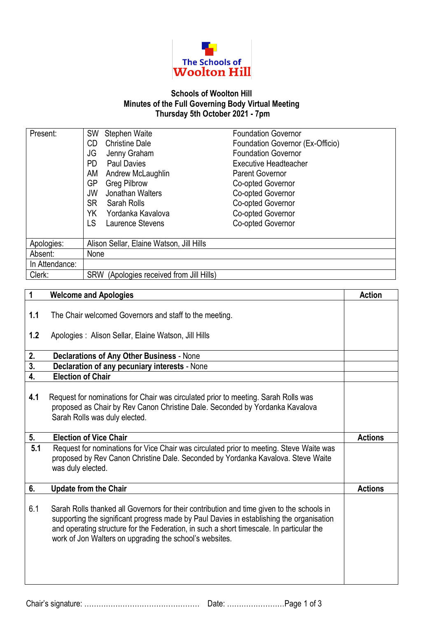

## **Schools of Woolton Hill Minutes of the Full Governing Body Virtual Meeting Thursday 5th October 2021 - 7pm**

| Present:       | <b>Stephen Waite</b><br><b>SW</b>                  | <b>Foundation Governor</b>       |
|----------------|----------------------------------------------------|----------------------------------|
|                | <b>Christine Dale</b><br>CD                        | Foundation Governor (Ex-Officio) |
|                | JG<br>Jenny Graham                                 | <b>Foundation Governor</b>       |
|                | <b>Paul Davies</b><br>PD.                          | <b>Executive Headteacher</b>     |
|                | Andrew McLaughlin<br>AM                            | Parent Governor                  |
|                | GP<br><b>Greg Pilbrow</b>                          | Co-opted Governor                |
|                | Jonathan Walters<br>JW                             | Co-opted Governor                |
|                | <b>SR</b><br>Sarah Rolls                           | Co-opted Governor                |
|                | Yordanka Kavalova<br>YK                            | Co-opted Governor                |
|                | LS<br>Laurence Stevens                             | Co-opted Governor                |
|                |                                                    |                                  |
| Apologies:     | Alison Sellar, Elaine Watson, Jill Hills           |                                  |
| Absent:        | None                                               |                                  |
| In Attendance: |                                                    |                                  |
| Clerk:         | (Apologies received from Jill Hills)<br><b>SRW</b> |                                  |

| 1   | <b>Welcome and Apologies</b>                                                                                                                                                                                                                                                                                                                 | <b>Action</b>  |
|-----|----------------------------------------------------------------------------------------------------------------------------------------------------------------------------------------------------------------------------------------------------------------------------------------------------------------------------------------------|----------------|
| 1.1 | The Chair welcomed Governors and staff to the meeting.                                                                                                                                                                                                                                                                                       |                |
| 1.2 | Apologies : Alison Sellar, Elaine Watson, Jill Hills                                                                                                                                                                                                                                                                                         |                |
| 2.  | <b>Declarations of Any Other Business - None</b>                                                                                                                                                                                                                                                                                             |                |
| 3.  | Declaration of any pecuniary interests - None                                                                                                                                                                                                                                                                                                |                |
| 4.  | <b>Election of Chair</b>                                                                                                                                                                                                                                                                                                                     |                |
| 4.1 | Request for nominations for Chair was circulated prior to meeting. Sarah Rolls was<br>proposed as Chair by Rev Canon Christine Dale. Seconded by Yordanka Kavalova<br>Sarah Rolls was duly elected.                                                                                                                                          |                |
| 5.  | <b>Election of Vice Chair</b>                                                                                                                                                                                                                                                                                                                | <b>Actions</b> |
| 5.1 | Request for nominations for Vice Chair was circulated prior to meeting. Steve Waite was<br>proposed by Rev Canon Christine Dale. Seconded by Yordanka Kavalova. Steve Waite<br>was duly elected.                                                                                                                                             |                |
| 6.  | <b>Update from the Chair</b>                                                                                                                                                                                                                                                                                                                 | <b>Actions</b> |
| 6.1 | Sarah Rolls thanked all Governors for their contribution and time given to the schools in<br>supporting the significant progress made by Paul Davies in establishing the organisation<br>and operating structure for the Federation, in such a short timescale. In particular the<br>work of Jon Walters on upgrading the school's websites. |                |

Chair's signature: ………………………………………… Date: ……………………Page 1 of 3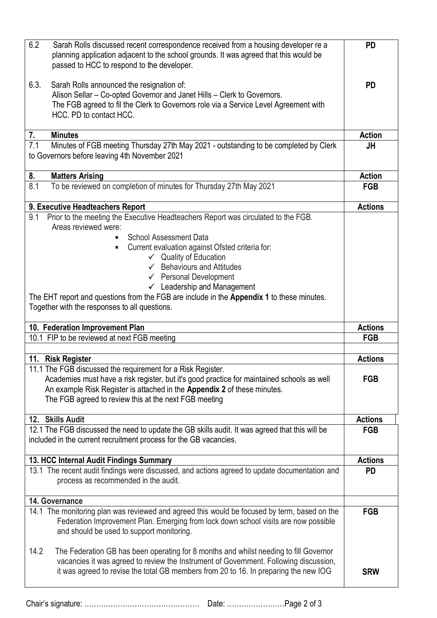| 6.2<br>Sarah Rolls discussed recent correspondence received from a housing developer re a<br>planning application adjacent to the school grounds. It was agreed that this would be<br>passed to HCC to respond to the developer.                                               | <b>PD</b>      |
|--------------------------------------------------------------------------------------------------------------------------------------------------------------------------------------------------------------------------------------------------------------------------------|----------------|
| 6.3.<br>Sarah Rolls announced the resignation of:                                                                                                                                                                                                                              | <b>PD</b>      |
| Alison Sellar - Co-opted Governor and Janet Hills - Clerk to Governors.<br>The FGB agreed to fil the Clerk to Governors role via a Service Level Agreement with                                                                                                                |                |
| HCC. PD to contact HCC.                                                                                                                                                                                                                                                        |                |
| 7.<br><b>Minutes</b>                                                                                                                                                                                                                                                           | <b>Action</b>  |
| 7.1<br>Minutes of FGB meeting Thursday 27th May 2021 - outstanding to be completed by Clerk<br>to Governors before leaving 4th November 2021                                                                                                                                   | <b>JH</b>      |
| 8.<br><b>Matters Arising</b>                                                                                                                                                                                                                                                   | <b>Action</b>  |
| To be reviewed on completion of minutes for Thursday 27th May 2021<br>8.1                                                                                                                                                                                                      | <b>FGB</b>     |
| 9. Executive Headteachers Report                                                                                                                                                                                                                                               | <b>Actions</b> |
| Prior to the meeting the Executive Headteachers Report was circulated to the FGB.<br>9.1<br>Areas reviewed were:                                                                                                                                                               |                |
| <b>School Assessment Data</b>                                                                                                                                                                                                                                                  |                |
| Current evaluation against Ofsted criteria for:<br>٠                                                                                                                                                                                                                           |                |
| $\checkmark$ Quality of Education<br>$\checkmark$ Behaviours and Attitudes                                                                                                                                                                                                     |                |
| $\checkmark$ Personal Development                                                                                                                                                                                                                                              |                |
| $\checkmark$ Leadership and Management                                                                                                                                                                                                                                         |                |
| The EHT report and questions from the FGB are include in the Appendix 1 to these minutes.<br>Together with the responses to all questions.                                                                                                                                     |                |
| 10. Federation Improvement Plan                                                                                                                                                                                                                                                | <b>Actions</b> |
| 10.1 FIP to be reviewed at next FGB meeting                                                                                                                                                                                                                                    | <b>FGB</b>     |
|                                                                                                                                                                                                                                                                                |                |
| 11. Risk Register                                                                                                                                                                                                                                                              | <b>Actions</b> |
| 11.1 The FGB discussed the requirement for a Risk Register.                                                                                                                                                                                                                    |                |
| Academies must have a risk register, but it's good practice for maintained schools as well                                                                                                                                                                                     | <b>FGB</b>     |
| An example Risk Register is attached in the Appendix 2 of these minutes.<br>The FGB agreed to review this at the next FGB meeting                                                                                                                                              |                |
| 12. Skills Audit                                                                                                                                                                                                                                                               | <b>Actions</b> |
| 12.1 The FGB discussed the need to update the GB skills audit. It was agreed that this will be                                                                                                                                                                                 | <b>FGB</b>     |
| included in the current recruitment process for the GB vacancies.                                                                                                                                                                                                              |                |
| 13. HCC Internal Audit Findings Summary                                                                                                                                                                                                                                        | <b>Actions</b> |
| 13.1 The recent audit findings were discussed, and actions agreed to update documentation and                                                                                                                                                                                  | <b>PD</b>      |
| process as recommended in the audit.                                                                                                                                                                                                                                           |                |
| 14. Governance                                                                                                                                                                                                                                                                 |                |
| 14.1 The monitoring plan was reviewed and agreed this would be focused by term, based on the<br>Federation Improvement Plan. Emerging from lock down school visits are now possible<br>and should be used to support monitoring.                                               | <b>FGB</b>     |
| 14.2<br>The Federation GB has been operating for 8 months and whilst needing to fill Governor<br>vacancies it was agreed to review the Instrument of Government. Following discussion,<br>it was agreed to revise the total GB members from 20 to 16. In preparing the new IOG | <b>SRW</b>     |

Chair's signature: ………………………………………… Date: ……………………Page 2 of 3